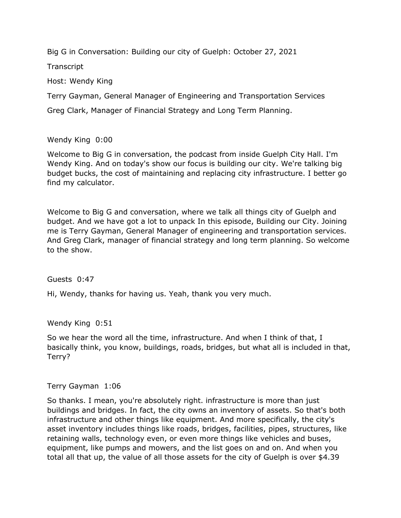Big G in Conversation: Building our city of Guelph: October 27, 2021

**Transcript** 

Host: Wendy King

Terry Gayman, General Manager of Engineering and Transportation Services

Greg Clark, Manager of Financial Strategy and Long Term Planning.

## Wendy King 0:00

 Welcome to Big G in conversation, the podcast from inside Guelph City Hall. I'm Wendy King. And on today's show our focus is building our city. We're talking big budget bucks, the cost of maintaining and replacing city infrastructure. I better go find my calculator.

 Welcome to Big G and conversation, where we talk all things city of Guelph and budget. And we have got a lot to unpack In this episode, Building our City. Joining me is Terry Gayman, General Manager of engineering and transportation services. And Greg Clark, manager of financial strategy and long term planning. So welcome to the show.

## Guests 0:47

Hi, Wendy, thanks for having us. Yeah, thank you very much.

Wendy King 0:51

 So we hear the word all the time, infrastructure. And when I think of that, I basically think, you know, buildings, roads, bridges, but what all is included in that, Terry?

## Terry Gayman 1:06

 So thanks. I mean, you're absolutely right. infrastructure is more than just buildings and bridges. In fact, the city owns an inventory of assets. So that's both infrastructure and other things like equipment. And more specifically, the city's asset inventory includes things like roads, bridges, facilities, pipes, structures, like retaining walls, technology even, or even more things like vehicles and buses, equipment, like pumps and mowers, and the list goes on and on. And when you total all that up, the value of all those assets for the city of Guelph is over \$4.39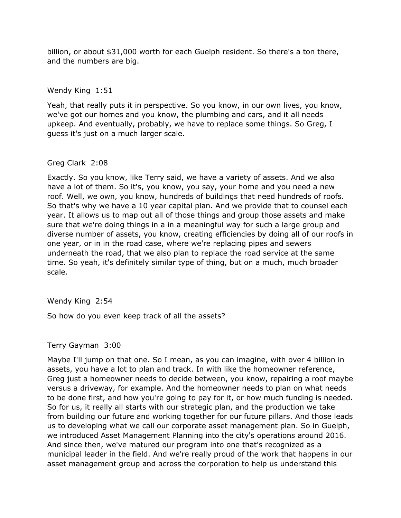billion, or about \$31,000 worth for each Guelph resident. So there's a ton there, and the numbers are big.

### Wendy King 1:51

 Yeah, that really puts it in perspective. So you know, in our own lives, you know, we've got our homes and you know, the plumbing and cars, and it all needs upkeep. And eventually, probably, we have to replace some things. So Greg, I guess it's just on a much larger scale.

### Greg Clark 2:08

 Exactly. So you know, like Terry said, we have a variety of assets. And we also have a lot of them. So it's, you know, you say, your home and you need a new roof. Well, we own, you know, hundreds of buildings that need hundreds of roofs. So that's why we have a 10 year capital plan. And we provide that to counsel each year. It allows us to map out all of those things and group those assets and make sure that we're doing things in a in a meaningful way for such a large group and diverse number of assets, you know, creating efficiencies by doing all of our roofs in one year, or in in the road case, where we're replacing pipes and sewers time. So yeah, it's definitely similar type of thing, but on a much, much broader underneath the road, that we also plan to replace the road service at the same scale.

## Wendy King 2:54

So how do you even keep track of all the assets?

## Terry Gayman 3:00

 Maybe I'll jump on that one. So I mean, as you can imagine, with over 4 billion in assets, you have a lot to plan and track. In with like the homeowner reference, Greg just a homeowner needs to decide between, you know, repairing a roof maybe versus a driveway, for example. And the homeowner needs to plan on what needs to be done first, and how you're going to pay for it, or how much funding is needed. So for us, it really all starts with our strategic plan, and the production we take from building our future and working together for our future pillars. And those leads us to developing what we call our corporate asset management plan. So in Guelph, we introduced Asset Management Planning into the city's operations around 2016. And since then, we've matured our program into one that's recognized as a municipal leader in the field. And we're really proud of the work that happens in our asset management group and across the corporation to help us understand this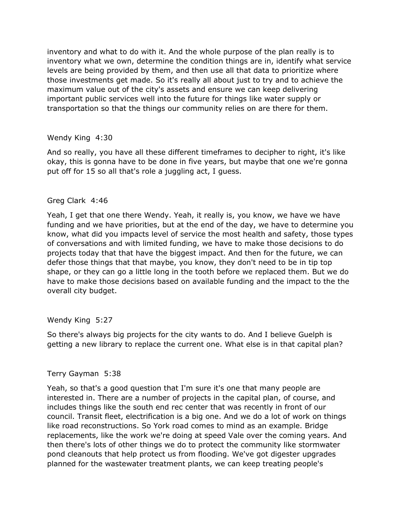inventory and what to do with it. And the whole purpose of the plan really is to inventory what we own, determine the condition things are in, identify what service levels are being provided by them, and then use all that data to prioritize where those investments get made. So it's really all about just to try and to achieve the maximum value out of the city's assets and ensure we can keep delivering important public services well into the future for things like water supply or transportation so that the things our community relies on are there for them.

### Wendy King 4:30

 And so really, you have all these different timeframes to decipher to right, it's like okay, this is gonna have to be done in five years, but maybe that one we're gonna put off for 15 so all that's role a juggling act, I guess.

### Greg Clark 4:46

 Yeah, I get that one there Wendy. Yeah, it really is, you know, we have we have funding and we have priorities, but at the end of the day, we have to determine you know, what did you impacts level of service the most health and safety, those types of conversations and with limited funding, we have to make those decisions to do projects today that that have the biggest impact. And then for the future, we can defer those things that that maybe, you know, they don't need to be in tip top shape, or they can go a little long in the tooth before we replaced them. But we do have to make those decisions based on available funding and the impact to the the overall city budget.

## Wendy King 5:27

 So there's always big projects for the city wants to do. And I believe Guelph is getting a new library to replace the current one. What else is in that capital plan?

#### Terry Gayman 5:38

 Yeah, so that's a good question that I'm sure it's one that many people are interested in. There are a number of projects in the capital plan, of course, and includes things like the south end rec center that was recently in front of our council. Transit fleet, electrification is a big one. And we do a lot of work on things like road reconstructions. So York road comes to mind as an example. Bridge replacements, like the work we're doing at speed Vale over the coming years. And pond cleanouts that help protect us from flooding. We've got digester upgrades planned for the wastewater treatment plants, we can keep treating people's then there's lots of other things we do to protect the community like stormwater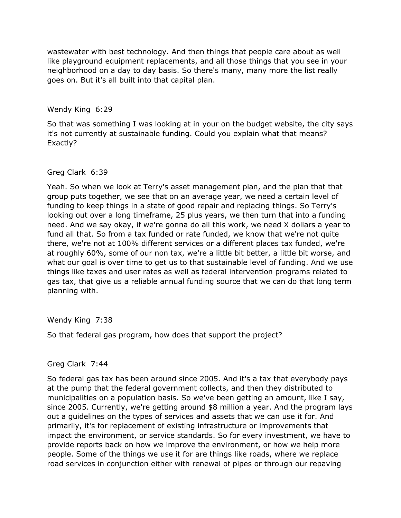wastewater with best technology. And then things that people care about as well like playground equipment replacements, and all those things that you see in your neighborhood on a day to day basis. So there's many, many more the list really goes on. But it's all built into that capital plan.

Wendy King 6:29

 So that was something I was looking at in your on the budget website, the city says it's not currently at sustainable funding. Could you explain what that means? Exactly?

Greg Clark 6:39

 Yeah. So when we look at Terry's asset management plan, and the plan that that group puts together, we see that on an average year, we need a certain level of funding to keep things in a state of good repair and replacing things. So Terry's looking out over a long timeframe, 25 plus years, we then turn that into a funding need. And we say okay, if we're gonna do all this work, we need X dollars a year to fund all that. So from a tax funded or rate funded, we know that we're not quite there, we're not at 100% different services or a different places tax funded, we're at roughly 60%, some of our non tax, we're a little bit better, a little bit worse, and what our goal is over time to get us to that sustainable level of funding. And we use things like taxes and user rates as well as federal intervention programs related to gas tax, that give us a reliable annual funding source that we can do that long term planning with.

Wendy King 7:38

So that federal gas program, how does that support the project?

#### Greg Clark 7:44

 So federal gas tax has been around since 2005. And it's a tax that everybody pays at the pump that the federal government collects, and then they distributed to municipalities on a population basis. So we've been getting an amount, like I say, since 2005. Currently, we're getting around \$8 million a year. And the program lays out a guidelines on the types of services and assets that we can use it for. And provide reports back on how we improve the environment, or how we help more people. Some of the things we use it for are things like roads, where we replace road services in conjunction either with renewal of pipes or through our repaving primarily, it's for replacement of existing infrastructure or improvements that impact the environment, or service standards. So for every investment, we have to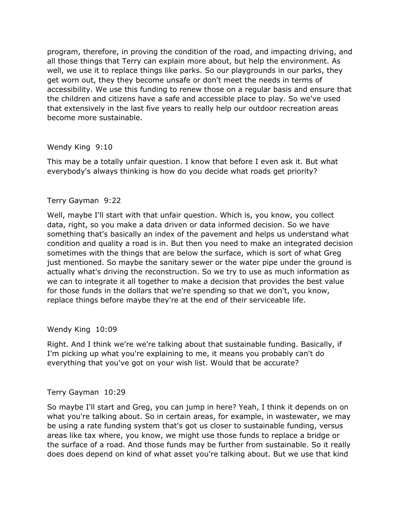program, therefore, in proving the condition of the road, and impacting driving, and all those things that Terry can explain more about, but help the environment. As well, we use it to replace things like parks. So our playgrounds in our parks, they get worn out, they they become unsafe or don't meet the needs in terms of accessibility. We use this funding to renew those on a regular basis and ensure that the children and citizens have a safe and accessible place to play. So we've used that extensively in the last five years to really help our outdoor recreation areas become more sustainable.

### Wendy King 9:10

 This may be a totally unfair question. I know that before I even ask it. But what everybody's always thinking is how do you decide what roads get priority?

### Terry Gayman 9:22

 Well, maybe I'll start with that unfair question. Which is, you know, you collect data, right, so you make a data driven or data informed decision. So we have something that's basically an index of the pavement and helps us understand what condition and quality a road is in. But then you need to make an integrated decision actually what's driving the reconstruction. So we try to use as much information as sometimes with the things that are below the surface, which is sort of what Greg just mentioned. So maybe the sanitary sewer or the water pipe under the ground is we can to integrate it all together to make a decision that provides the best value for those funds in the dollars that we're spending so that we don't, you know, replace things before maybe they're at the end of their serviceable life.

#### Wendy King 10:09

 Right. And I think we're we're talking about that sustainable funding. Basically, if I'm picking up what you're explaining to me, it means you probably can't do everything that you've got on your wish list. Would that be accurate?

#### Terry Gayman 10:29

 So maybe I'll start and Greg, you can jump in here? Yeah, I think it depends on on what you're talking about. So in certain areas, for example, in wastewater, we may be using a rate funding system that's got us closer to sustainable funding, versus areas like tax where, you know, we might use those funds to replace a bridge or the surface of a road. And those funds may be further from sustainable. So it really does does depend on kind of what asset you're talking about. But we use that kind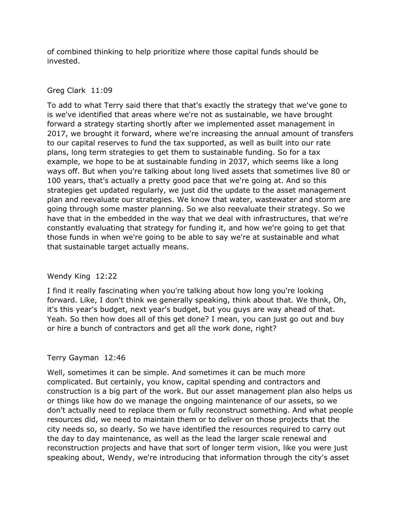of combined thinking to help prioritize where those capital funds should be invested.

## Greg Clark 11:09

 To add to what Terry said there that that's exactly the strategy that we've gone to forward a strategy starting shortly after we implemented asset management in plans, long term strategies to get them to sustainable funding. So for a tax example, we hope to be at sustainable funding in 2037, which seems like a long ways off. But when you're talking about long lived assets that sometimes live 80 or 100 years, that's actually a pretty good pace that we're going at. And so this strategies get updated regularly, we just did the update to the asset management plan and reevaluate our strategies. We know that water, wastewater and storm are going through some master planning. So we also reevaluate their strategy. So we have that in the embedded in the way that we deal with infrastructures, that we're constantly evaluating that strategy for funding it, and how we're going to get that is we've identified that areas where we're not as sustainable, we have brought 2017, we brought it forward, where we're increasing the annual amount of transfers to our capital reserves to fund the tax supported, as well as built into our rate those funds in when we're going to be able to say we're at sustainable and what that sustainable target actually means.

## Wendy King 12:22

 I find it really fascinating when you're talking about how long you're looking forward. Like, I don't think we generally speaking, think about that. We think, Oh, it's this year's budget, next year's budget, but you guys are way ahead of that. Yeah. So then how does all of this get done? I mean, you can just go out and buy or hire a bunch of contractors and get all the work done, right?

## Terry Gayman 12:46

 Well, sometimes it can be simple. And sometimes it can be much more complicated. But certainly, you know, capital spending and contractors and construction is a big part of the work. But our asset management plan also helps us or things like how do we manage the ongoing maintenance of our assets, so we don't actually need to replace them or fully reconstruct something. And what people resources did, we need to maintain them or to deliver on those projects that the city needs so, so dearly. So we have identified the resources required to carry out the day to day maintenance, as well as the lead the larger scale renewal and reconstruction projects and have that sort of longer term vision, like you were just speaking about, Wendy, we're introducing that information through the city's asset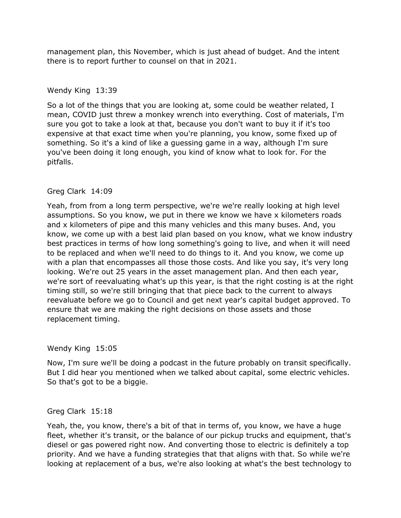management plan, this November, which is just ahead of budget. And the intent there is to report further to counsel on that in 2021.

## Wendy King 13:39

 So a lot of the things that you are looking at, some could be weather related, I mean, COVID just threw a monkey wrench into everything. Cost of materials, I'm sure you got to take a look at that, because you don't want to buy it if it's too something. So it's a kind of like a guessing game in a way, although I'm sure you've been doing it long enough, you kind of know what to look for. For the expensive at that exact time when you're planning, you know, some fixed up of pitfalls.

# Greg Clark 14:09

 Yeah, from from a long term perspective, we're we're really looking at high level assumptions. So you know, we put in there we know we have x kilometers roads and x kilometers of pipe and this many vehicles and this many buses. And, you know, we come up with a best laid plan based on you know, what we know industry best practices in terms of how long something's going to live, and when it will need with a plan that encompasses all those those costs. And like you say, it's very long looking. We're out 25 years in the asset management plan. And then each year, we're sort of reevaluating what's up this year, is that the right costing is at the right ensure that we are making the right decisions on those assets and those to be replaced and when we'll need to do things to it. And you know, we come up timing still, so we're still bringing that that piece back to the current to always reevaluate before we go to Council and get next year's capital budget approved. To replacement timing.

## Wendy King 15:05

 Now, I'm sure we'll be doing a podcast in the future probably on transit specifically. But I did hear you mentioned when we talked about capital, some electric vehicles. So that's got to be a biggie.

## Greg Clark 15:18

 Yeah, the, you know, there's a bit of that in terms of, you know, we have a huge fleet, whether it's transit, or the balance of our pickup trucks and equipment, that's diesel or gas powered right now. And converting those to electric is definitely a top priority. And we have a funding strategies that that aligns with that. So while we're looking at replacement of a bus, we're also looking at what's the best technology to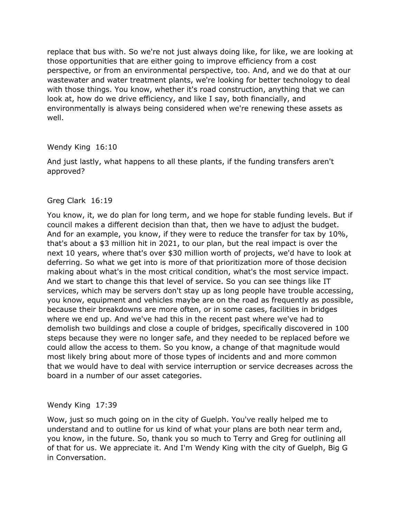replace that bus with. So we're not just always doing like, for like, we are looking at those opportunities that are either going to improve efficiency from a cost perspective, or from an environmental perspective, too. And, and we do that at our wastewater and water treatment plants, we're looking for better technology to deal with those things. You know, whether it's road construction, anything that we can look at, how do we drive efficiency, and like I say, both financially, and environmentally is always being considered when we're renewing these assets as well.

## Wendy King 16:10

 And just lastly, what happens to all these plants, if the funding transfers aren't approved?

## Greg Clark 16:19

 You know, it, we do plan for long term, and we hope for stable funding levels. But if council makes a different decision than that, then we have to adjust the budget. And for an example, you know, if they were to reduce the transfer for tax by 10%, that's about a \$3 million hit in 2021, to our plan, but the real impact is over the next 10 years, where that's over \$30 million worth of projects, we'd have to look at making about what's in the most critical condition, what's the most service impact. And we start to change this that level of service. So you can see things like IT services, which may be servers don't stay up as long people have trouble accessing, you know, equipment and vehicles maybe are on the road as frequently as possible, where we end up. And we've had this in the recent past where we've had to demolish two buildings and close a couple of bridges, specifically discovered in 100 steps because they were no longer safe, and they needed to be replaced before we could allow the access to them. So you know, a change of that magnitude would most likely bring about more of those types of incidents and and more common board in a number of our asset categories. deferring. So what we get into is more of that prioritization more of those decision because their breakdowns are more often, or in some cases, facilities in bridges that we would have to deal with service interruption or service decreases across the

## Wendy King 17:39

 Wow, just so much going on in the city of Guelph. You've really helped me to understand and to outline for us kind of what your plans are both near term and, you know, in the future. So, thank you so much to Terry and Greg for outlining all of that for us. We appreciate it. And I'm Wendy King with the city of Guelph, Big G in Conversation.